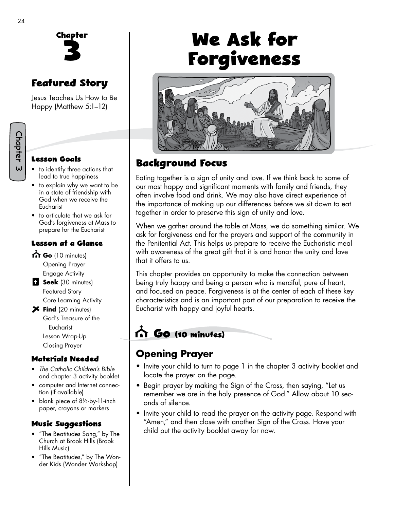

# **Featured Story**

Jesus Teaches Us How to Be Happy (Matthew 5:1–12)

#### **Lesson Goals**

- to identify three actions that lead to true happiness
- to explain why we want to be in a state of friendship with God when we receive the Eucharist
- to articulate that we ask for God's forgiveness at Mass to prepare for the Eucharist

#### **Lesson at a Glance**

- Go (10 minutes) Opening Prayer Engage Activity **Seek** (30 minutes)
	- Featured Story Core Learning Activity
- **Find** (20 minutes) God's Treasure of the Eucharist Lesson Wrap-Up Closing Prayer

#### **Materials Needed**

- *The Catholic Children's Bible*  and chapter 3 activity booklet
- computer and Internet connection (if available)
- blank piece of 8½-by-11-inch paper, crayons or markers

#### **Music Suggestions**

- "The Beatitudes Song," by The Church at Brook Hills (Brook Hills Music)
- "The Beatitudes," by The Wonder Kids (Wonder Workshop)

# **We Ask for Forgiveness**



# **Background Focus**

Eating together is a sign of unity and love. If we think back to some of our most happy and significant moments with family and friends, they often involve food and drink. We may also have direct experience of the importance of making up our differences before we sit down to eat together in order to preserve this sign of unity and love.

When we gather around the table at Mass, we do something similar. We ask for forgiveness and for the prayers and support of the community in the Penitential Act. This helps us prepare to receive the Eucharistic meal with awareness of the great gift that it is and honor the unity and love that it offers to us.

This chapter provides an opportunity to make the connection between being truly happy and being a person who is merciful, pure of heart, and focused on peace. Forgiveness is at the center of each of these key characteristics and is an important part of our preparation to receive the Eucharist with happy and joyful hearts.

# **Go (10 minutes)**

# **Opening Prayer**

- Invite your child to turn to page 1 in the chapter 3 activity booklet and locate the prayer on the page.
- Begin prayer by making the Sign of the Cross, then saying, "Let us remember we are in the holy presence of God." Allow about 10 seconds of silence.
- Invite your child to read the prayer on the activity page. Respond with "Amen," and then close with another Sign of the Cross. Have your child put the activity booklet away for now.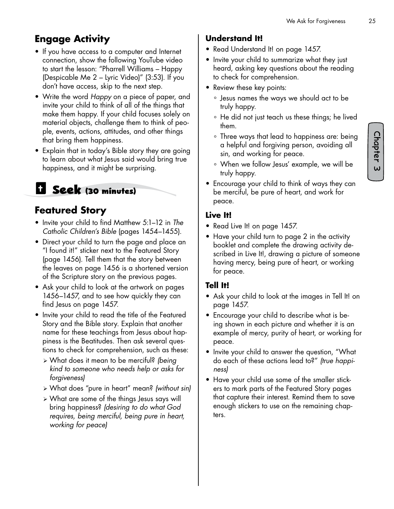# **Engage Activity**

- If you have access to a computer and Internet connection, show the following YouTube video to start the lesson: "Pharrell Williams – Happy (Despicable Me 2 – Lyric Video)" (3:53). If you don't have access, skip to the next step.
- Write the word *Happy* on a piece of paper, and invite your child to think of all of the things that make them happy. If your child focuses solely on material objects, challenge them to think of people, events, actions, attitudes, and other things that bring them happiness.
- Explain that in today's Bible story they are going to learn about what Jesus said would bring true happiness, and it might be surprising.

# **Seek (30 minutes)**

## **Featured Story**

- Invite your child to find Matthew 5:1–12 in *The Catholic Children's Bible* (pages 1454–1455).
- Direct your child to turn the page and place an "I found it!" sticker next to the Featured Story (page 1456). Tell them that the story between the leaves on page 1456 is a shortened version of the Scripture story on the previous pages.
- Ask your child to look at the artwork on pages 1456–1457, and to see how quickly they can find Jesus on page 1457.
- Invite your child to read the title of the Featured Story and the Bible story. Explain that another name for these teachings from Jesus about happiness is the Beatitudes*.* Then ask several questions to check for comprehension, such as these:
	- ¾ What does it mean to be merciful? *(being kind to someone who needs help or asks for forgiveness)*
	- ¾ What does "pure in heart" mean? *(without sin)*
	- ¾ What are some of the things Jesus says will bring happiness? *(desiring to do what God requires, being merciful, being pure in heart, working for peace)*

#### **Understand It!**

- Read Understand It! on page 1457.
- Invite your child to summarize what they just heard, asking key questions about the reading to check for comprehension.
- Review these key points:
	- ° Jesus names the ways we should act to be truly happy.
	- ° He did not just teach us these things; he lived them.
	- ° Three ways that lead to happiness are: being a helpful and forgiving person, avoiding all sin, and working for peace.
	- ° When we follow Jesus' example, we will be truly happy.
- Encourage your child to think of ways they can be merciful, be pure of heart, and work for peace.

#### **Live It!**

- Read Live It! on page 1457.
- Have your child turn to page 2 in the activity booklet and complete the drawing activity described in Live It!, drawing a picture of someone having mercy, being pure of heart, or working for peace.

#### **Tell It!**

- Ask your child to look at the images in Tell It! on page 1457.
- Encourage your child to describe what is being shown in each picture and whether it is an example of mercy, purity of heart, or working for peace.
- Invite your child to answer the question, "What do each of these actions lead to?" *(true happiness)*
- Have your child use some of the smaller stickers to mark parts of the Featured Story pages that capture their interest. Remind them to save enough stickers to use on the remaining chapters.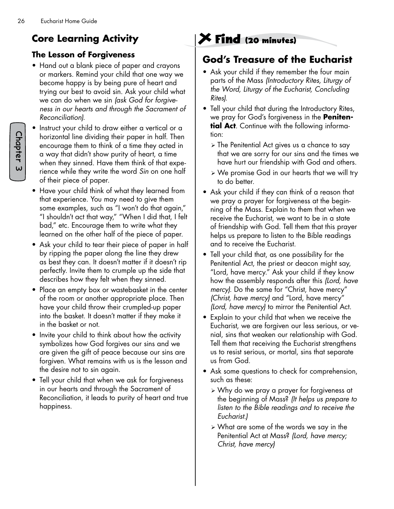# **Core Learning Activity**

#### **The Lesson of Forgiveness**

- Hand out a blank piece of paper and crayons or markers. Remind your child that one way we become happy is by being pure of heart and trying our best to avoid sin. Ask your child what we can do when we sin *(ask God for forgiveness in our hearts and through the Sacrament of Reconciliation).*
- Instruct your child to draw either a vertical or a horizontal line dividing their paper in half. Then encourage them to think of a time they acted in a way that didn't show purity of heart, a time when they sinned. Have them think of that experience while they write the word *Sin* on one half of their piece of paper.
- Have your child think of what they learned from that experience. You may need to give them some examples, such as "I won't do that again," "I shouldn't act that way," "When I did that, I felt bad," etc. Encourage them to write what they learned on the other half of the piece of paper.
- Ask your child to tear their piece of paper in half by ripping the paper along the line they drew as best they can. It doesn't matter if it doesn't rip perfectly. Invite them to crumple up the side that describes how they felt when they sinned.
- Place an empty box or wastebasket in the center of the room or another appropriate place. Then have your child throw their crumpled-up paper into the basket. It doesn't matter if they make it in the basket or not.
- Invite your child to think about how the activity symbolizes how God forgives our sins and we are given the gift of peace because our sins are forgiven. What remains with us is the lesson and the desire not to sin again.
- Tell your child that when we ask for forgiveness in our hearts and through the Sacrament of Reconciliation, it leads to purity of heart and true happiness.

# **Find (20 minutes)**

### **God's Treasure of the Eucharist**

- Ask your child if they remember the four main parts of the Mass *(Introductory Rites, Liturgy of the Word, Liturgy of the Eucharist, Concluding Rites).*
- Tell your child that during the Introductory Rites, we pray for God's forgiveness in the **Penitential Act**. Continue with the following information:
	- $\triangleright$  The Penitential Act gives us a chance to say that we are sorry for our sins and the times we have hurt our friendship with God and others.
	- ¾ We promise God in our hearts that we will try to do better.
- Ask your child if they can think of a reason that we pray a prayer for forgiveness at the beginning of the Mass. Explain to them that when we receive the Eucharist, we want to be in a state of friendship with God. Tell them that this prayer helps us prepare to listen to the Bible readings and to receive the Eucharist.
- Tell your child that, as one possibility for the Penitential Act, the priest or deacon might say, "Lord, have mercy." Ask your child if they know how the assembly responds after this *(Lord, have mercy).* Do the same for "Christ, have mercy" *(Christ, have mercy)* and "Lord, have mercy" *(Lord, have mercy)* to mirror the Penitential Act.
- Explain to your child that when we receive the Eucharist, we are forgiven our less serious, or venial, sins that weaken our relationship with God. Tell them that receiving the Eucharist strengthens us to resist serious, or mortal, sins that separate us from God.
- Ask some questions to check for comprehension, such as these:
	- ¾ Why do we pray a prayer for forgiveness at the beginning of Mass? *(It helps us prepare to listen to the Bible readings and to receive the Eucharist.)*
	- ¾ What are some of the words we say in the Penitential Act at Mass? *(Lord, have mercy; Christ, have mercy)*